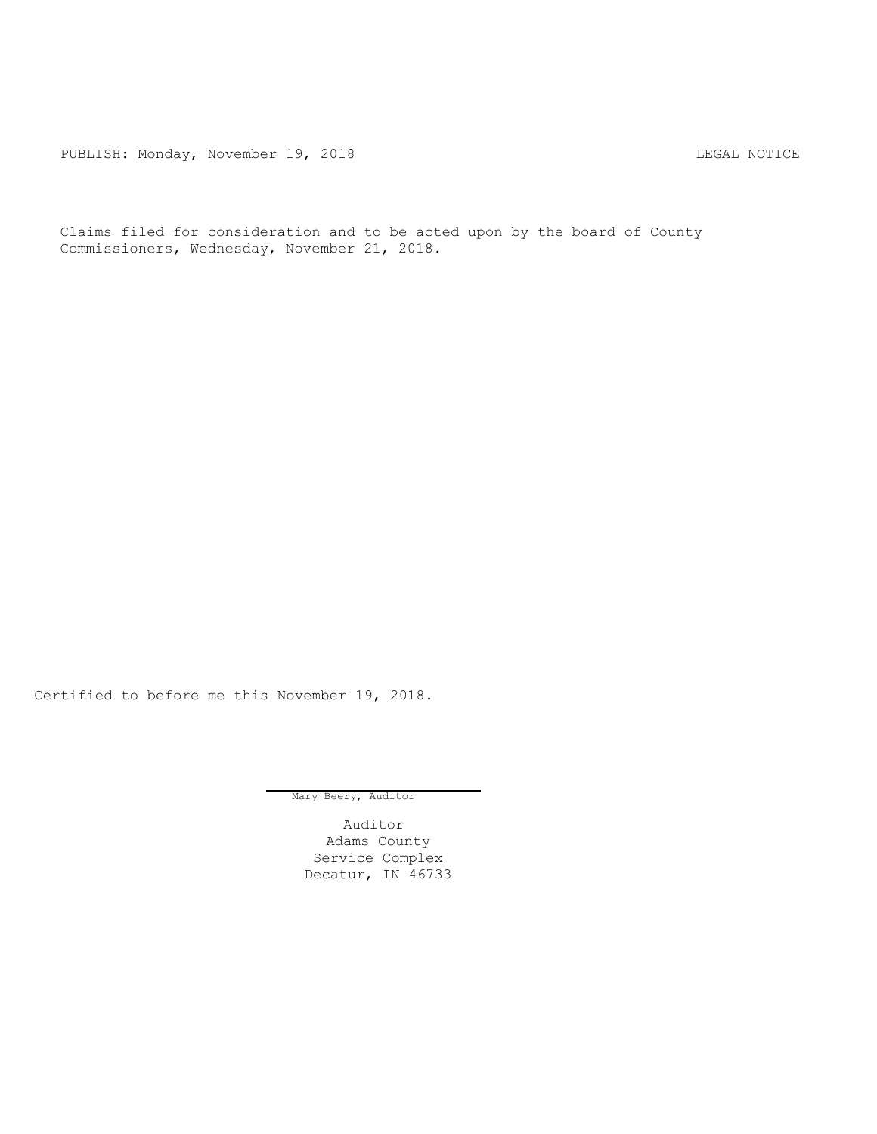PUBLISH: Monday, November 19, 2018 CHA CHANGE CONSERVATION CHANGE CONTROL PUBLISH: MOTICE

Claims filed for consideration and to be acted upon by the board of County Commissioners, Wednesday, November 21, 2018.

Certified to before me this November 19, 2018.

Mary Beery, Auditor

Auditor Adams County Service Complex Decatur, IN 46733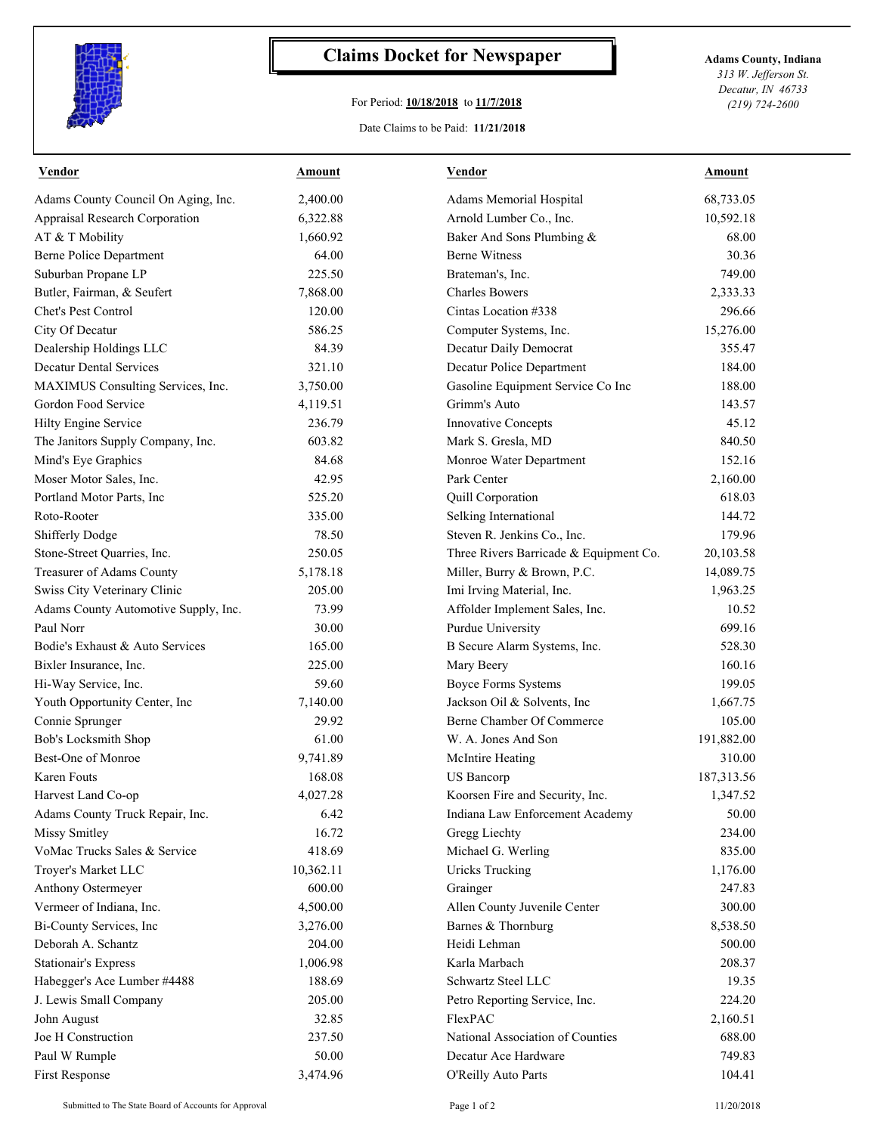

## **Claims Docket for Newspaper Adams County, Indiana**

## For Period: **10/18/2018** to **11/7/2018**

*313 W. Jefferson St. Decatur, IN 46733 (219) 724-2600*

## Date Claims to be Paid: **11/21/2018**

| <b>Vendor</b>                        | Amount    | <b>Vendor</b>                          | Amount      |
|--------------------------------------|-----------|----------------------------------------|-------------|
| Adams County Council On Aging, Inc.  | 2,400.00  | Adams Memorial Hospital                | 68,733.05   |
| Appraisal Research Corporation       | 6,322.88  | Arnold Lumber Co., Inc.                | 10,592.18   |
| AT & T Mobility                      | 1,660.92  | Baker And Sons Plumbing &              | 68.00       |
| <b>Berne Police Department</b>       | 64.00     | <b>Berne Witness</b>                   | 30.36       |
| Suburban Propane LP                  | 225.50    | Brateman's, Inc.                       | 749.00      |
| Butler, Fairman, & Seufert           | 7,868.00  | <b>Charles Bowers</b>                  | 2,333.33    |
| Chet's Pest Control                  | 120.00    | Cintas Location #338                   | 296.66      |
| City Of Decatur                      | 586.25    | Computer Systems, Inc.                 | 15,276.00   |
| Dealership Holdings LLC              | 84.39     | Decatur Daily Democrat                 | 355.47      |
| <b>Decatur Dental Services</b>       | 321.10    | Decatur Police Department              | 184.00      |
| MAXIMUS Consulting Services, Inc.    | 3,750.00  | Gasoline Equipment Service Co Inc      | 188.00      |
| Gordon Food Service                  | 4,119.51  | Grimm's Auto                           | 143.57      |
| Hilty Engine Service                 | 236.79    | <b>Innovative Concepts</b>             | 45.12       |
| The Janitors Supply Company, Inc.    | 603.82    | Mark S. Gresla, MD                     | 840.50      |
| Mind's Eye Graphics                  | 84.68     | Monroe Water Department                | 152.16      |
| Moser Motor Sales, Inc.              | 42.95     | Park Center                            | 2,160.00    |
| Portland Motor Parts, Inc            | 525.20    | Quill Corporation                      | 618.03      |
| Roto-Rooter                          | 335.00    | Selking International                  | 144.72      |
| Shifferly Dodge                      | 78.50     | Steven R. Jenkins Co., Inc.            | 179.96      |
| Stone-Street Quarries, Inc.          | 250.05    | Three Rivers Barricade & Equipment Co. | 20,103.58   |
| Treasurer of Adams County            | 5,178.18  | Miller, Burry & Brown, P.C.            | 14,089.75   |
| Swiss City Veterinary Clinic         | 205.00    | Imi Irving Material, Inc.              | 1,963.25    |
| Adams County Automotive Supply, Inc. | 73.99     | Affolder Implement Sales, Inc.         | 10.52       |
| Paul Norr                            | 30.00     | Purdue University                      | 699.16      |
| Bodie's Exhaust & Auto Services      | 165.00    | B Secure Alarm Systems, Inc.           | 528.30      |
| Bixler Insurance, Inc.               | 225.00    | Mary Beery                             | 160.16      |
| Hi-Way Service, Inc.                 | 59.60     | <b>Boyce Forms Systems</b>             | 199.05      |
| Youth Opportunity Center, Inc        | 7,140.00  | Jackson Oil & Solvents, Inc            | 1,667.75    |
| Connie Sprunger                      | 29.92     | Berne Chamber Of Commerce              | 105.00      |
| Bob's Locksmith Shop                 | 61.00     | W. A. Jones And Son                    | 191,882.00  |
| Best-One of Monroe                   | 9,741.89  | McIntire Heating                       | 310.00      |
| Karen Fouts                          | 168.08    | <b>US Bancorp</b>                      | 187, 313.56 |
| Harvest Land Co-op                   | 4,027.28  | Koorsen Fire and Security, Inc.        | 1,347.52    |
| Adams County Truck Repair, Inc.      | 6.42      | Indiana Law Enforcement Academy        | 50.00       |
| <b>Missy Smitley</b>                 | 16.72     | Gregg Liechty                          | 234.00      |
| VoMac Trucks Sales & Service         | 418.69    | Michael G. Werling                     | 835.00      |
| Troyer's Market LLC                  | 10,362.11 | <b>Uricks Trucking</b>                 | 1,176.00    |
| Anthony Ostermeyer                   | 600.00    | Grainger                               | 247.83      |
| Vermeer of Indiana, Inc.             | 4,500.00  | Allen County Juvenile Center           | 300.00      |
| Bi-County Services, Inc              | 3,276.00  | Barnes & Thornburg                     | 8,538.50    |
| Deborah A. Schantz                   | 204.00    | Heidi Lehman                           | 500.00      |
| <b>Stationair's Express</b>          | 1,006.98  | Karla Marbach                          | 208.37      |
| Habegger's Ace Lumber #4488          | 188.69    | Schwartz Steel LLC                     | 19.35       |
| J. Lewis Small Company               | 205.00    | Petro Reporting Service, Inc.          | 224.20      |
| John August                          | 32.85     | FlexPAC                                | 2,160.51    |
| Joe H Construction                   | 237.50    | National Association of Counties       | 688.00      |
| Paul W Rumple                        | 50.00     | Decatur Ace Hardware                   | 749.83      |
| First Response                       | 3,474.96  | O'Reilly Auto Parts                    | 104.41      |